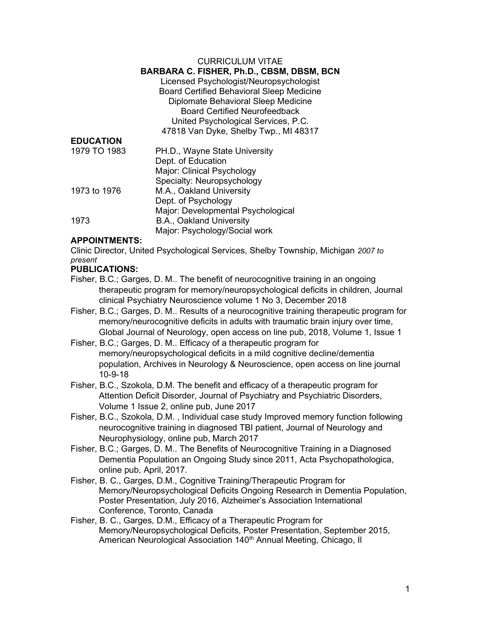#### CURRICULUM VITAE

#### BARBARA C. FISHER, Ph.D., CBSM, DBSM, BCN

Licensed Psychologist/Neuropsychologist Board Certified Behavioral Sleep Medicine Diplomate Behavioral Sleep Medicine Board Certified Neurofeedback United Psychological Services, P.C. 47818 Van Dyke, Shelby Twp., MI 48317

| <b>EDUCATION</b> |                                    |
|------------------|------------------------------------|
| 1979 TO 1983     | PH.D., Wayne State University      |
|                  | Dept. of Education                 |
|                  | Major: Clinical Psychology         |
|                  | Specialty: Neuropsychology         |
| 1973 to 1976     | M.A., Oakland University           |
|                  | Dept. of Psychology                |
|                  | Major: Developmental Psychological |
| 1973             | B.A., Oakland University           |
|                  | Major: Psychology/Social work      |

#### APPOINTMENTS:

Clinic Director, United Psychological Services, Shelby Township, Michigan 2007 to present

## PUBLICATIONS:

- Fisher, B.C.; Garges, D. M.. The benefit of neurocognitive training in an ongoing therapeutic program for memory/neuropsychological deficits in children, Journal clinical Psychiatry Neuroscience volume 1 No 3, December 2018
- Fisher, B.C.; Garges, D. M.. Results of a neurocognitive training therapeutic program for memory/neurocognitive deficits in adults with traumatic brain injury over time, Global Journal of Neurology, open access on line pub, 2018, Volume 1, Issue 1
- Fisher, B.C.; Garges, D. M.. Efficacy of a therapeutic program for memory/neuropsychological deficits in a mild cognitive decline/dementia population, Archives in Neurology & Neuroscience, open access on line journal 10-9-18
- Fisher, B.C., Szokola, D.M. The benefit and efficacy of a therapeutic program for Attention Deficit Disorder, Journal of Psychiatry and Psychiatric Disorders, Volume 1 Issue 2, online pub, June 2017
- Fisher, B.C., Szokola, D.M. , Individual case study Improved memory function following neurocognitive training in diagnosed TBI patient, Journal of Neurology and Neurophysiology, online pub, March 2017
- Fisher, B.C.; Garges, D. M.. The Benefits of Neurocognitive Training in a Diagnosed Dementia Population an Ongoing Study since 2011, Acta Psychopathologica, online pub, April, 2017.
- Fisher, B. C., Garges, D.M., Cognitive Training/Therapeutic Program for Memory/Neuropsychological Deficits Ongoing Research in Dementia Population, Poster Presentation, July 2016, Alzheimer's Association International Conference, Toronto, Canada
- Fisher, B. C., Garges, D.M., Efficacy of a Therapeutic Program for Memory/Neuropsychological Deficits, Poster Presentation, September 2015, American Neurological Association 140<sup>th</sup> Annual Meeting, Chicago, II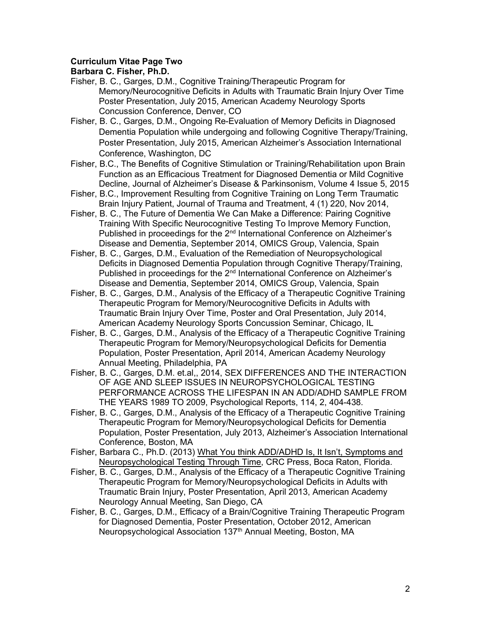## Curriculum Vitae Page Two

- Fisher, B. C., Garges, D.M., Cognitive Training/Therapeutic Program for Memory/Neurocognitive Deficits in Adults with Traumatic Brain Injury Over Time Poster Presentation, July 2015, American Academy Neurology Sports Concussion Conference, Denver, CO
- Fisher, B. C., Garges, D.M., Ongoing Re-Evaluation of Memory Deficits in Diagnosed Dementia Population while undergoing and following Cognitive Therapy/Training, Poster Presentation, July 2015, American Alzheimer's Association International Conference, Washington, DC
- Fisher, B.C., The Benefits of Cognitive Stimulation or Training/Rehabilitation upon Brain Function as an Efficacious Treatment for Diagnosed Dementia or Mild Cognitive Decline, Journal of Alzheimer's Disease & Parkinsonism, Volume 4 Issue 5, 2015
- Fisher, B.C., Improvement Resulting from Cognitive Training on Long Term Traumatic Brain Injury Patient, Journal of Trauma and Treatment, 4 (1) 220, Nov 2014,
- Fisher, B. C., The Future of Dementia We Can Make a Difference: Pairing Cognitive Training With Specific Neurocognitive Testing To Improve Memory Function, Published in proceedings for the 2<sup>nd</sup> International Conference on Alzheimer's Disease and Dementia, September 2014, OMICS Group, Valencia, Spain
- Fisher, B. C., Garges, D.M., Evaluation of the Remediation of Neuropsychological Deficits in Diagnosed Dementia Population through Cognitive Therapy/Training, Published in proceedings for the 2<sup>nd</sup> International Conference on Alzheimer's Disease and Dementia, September 2014, OMICS Group, Valencia, Spain
- Fisher, B. C., Garges, D.M., Analysis of the Efficacy of a Therapeutic Cognitive Training Therapeutic Program for Memory/Neurocognitive Deficits in Adults with Traumatic Brain Injury Over Time, Poster and Oral Presentation, July 2014, American Academy Neurology Sports Concussion Seminar, Chicago, IL
- Fisher, B. C., Garges, D.M., Analysis of the Efficacy of a Therapeutic Cognitive Training Therapeutic Program for Memory/Neuropsychological Deficits for Dementia Population, Poster Presentation, April 2014, American Academy Neurology Annual Meeting, Philadelphia, PA
- Fisher, B. C., Garges, D.M. et.al,, 2014, SEX DIFFERENCES AND THE INTERACTION OF AGE AND SLEEP ISSUES IN NEUROPSYCHOLOGICAL TESTING PERFORMANCE ACROSS THE LIFESPAN IN AN ADD/ADHD SAMPLE FROM THE YEARS 1989 TO 2009, Psychological Reports, 114, 2, 404-438.
- Fisher, B. C., Garges, D.M., Analysis of the Efficacy of a Therapeutic Cognitive Training Therapeutic Program for Memory/Neuropsychological Deficits for Dementia Population, Poster Presentation, July 2013, Alzheimer's Association International Conference, Boston, MA
- Fisher, Barbara C., Ph.D. (2013) What You think ADD/ADHD Is, It Isn't, Symptoms and Neuropsychological Testing Through Time, CRC Press, Boca Raton, Florida.
- Fisher, B. C., Garges, D.M., Analysis of the Efficacy of a Therapeutic Cognitive Training Therapeutic Program for Memory/Neuropsychological Deficits in Adults with Traumatic Brain Injury, Poster Presentation, April 2013, American Academy Neurology Annual Meeting, San Diego, CA
- Fisher, B. C., Garges, D.M., Efficacy of a Brain/Cognitive Training Therapeutic Program for Diagnosed Dementia, Poster Presentation, October 2012, American Neuropsychological Association 137<sup>th</sup> Annual Meeting, Boston, MA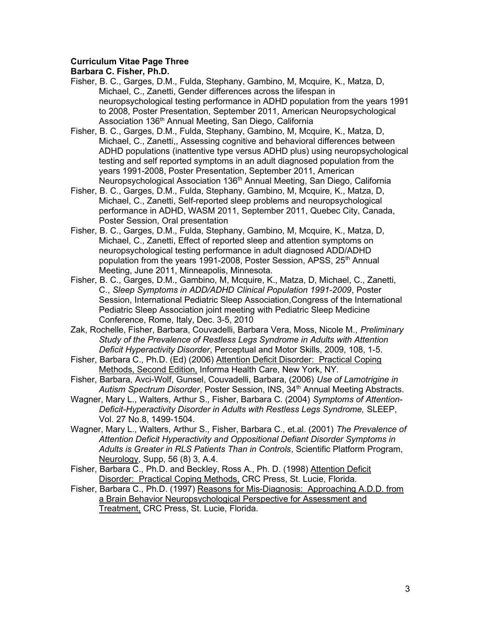## Curriculum Vitae Page Three

- Fisher, B. C., Garges, D.M., Fulda, Stephany, Gambino, M, Mcquire, K., Matza, D, Michael, C., Zanetti, Gender differences across the lifespan in neuropsychological testing performance in ADHD population from the years 1991 to 2008, Poster Presentation, September 2011, American Neuropsychological Association 136<sup>th</sup> Annual Meeting, San Diego, California
- Fisher, B. C., Garges, D.M., Fulda, Stephany, Gambino, M, Mcquire, K., Matza, D, Michael, C., Zanetti,, Assessing cognitive and behavioral differences between ADHD populations (inattentive type versus ADHD plus) using neuropsychological testing and self reported symptoms in an adult diagnosed population from the years 1991-2008, Poster Presentation, September 2011, American Neuropsychological Association 136<sup>th</sup> Annual Meeting, San Diego, California
- Fisher, B. C., Garges, D.M., Fulda, Stephany, Gambino, M, Mcquire, K., Matza, D, Michael, C., Zanetti, Self-reported sleep problems and neuropsychological performance in ADHD, WASM 2011, September 2011, Quebec City, Canada, Poster Session, Oral presentation
- Fisher, B. C., Garges, D.M., Fulda, Stephany, Gambino, M, Mcquire, K., Matza, D, Michael, C., Zanetti, Effect of reported sleep and attention symptoms on neuropsychological testing performance in adult diagnosed ADD/ADHD population from the years 1991-2008, Poster Session, APSS, 25<sup>th</sup> Annual Meeting, June 2011, Minneapolis, Minnesota.
- Fisher, B. C., Garges, D.M., Gambino, M, Mcquire, K., Matza, D, Michael, C., Zanetti, C., Sleep Symptoms in ADD/ADHD Clinical Population 1991-2009, Poster Session, International Pediatric Sleep Association,Congress of the International Pediatric Sleep Association joint meeting with Pediatric Sleep Medicine Conference, Rome, Italy, Dec. 3-5, 2010
- Zak, Rochelle, Fisher, Barbara, Couvadelli, Barbara Vera, Moss, Nicole M., Preliminary Study of the Prevalence of Restless Legs Syndrome in Adults with Attention Deficit Hyperactivity Disorder, Perceptual and Motor Skills, 2009, 108, 1-5.
- Fisher, Barbara C., Ph.D. (Ed) (2006) Attention Deficit Disorder: Practical Coping Methods, Second Edition, Informa Health Care, New York, NY.
- Fisher, Barbara, Avci-Wolf, Gunsel, Couvadelli, Barbara, (2006) Use of Lamotrigine in Autism Spectrum Disorder, Poster Session, INS, 34<sup>th</sup> Annual Meeting Abstracts.
- Wagner, Mary L., Walters, Arthur S., Fisher, Barbara C. (2004) Symptoms of Attention-Deficit-Hyperactivity Disorder in Adults with Restless Legs Syndrome, SLEEP, Vol. 27 No.8, 1499-1504.
- Wagner, Mary L., Walters, Arthur S., Fisher, Barbara C., et.al. (2001) The Prevalence of Attention Deficit Hyperactivity and Oppositional Defiant Disorder Symptoms in Adults is Greater in RLS Patients Than in Controls, Scientific Platform Program, Neurology, Supp, 56 (8) 3, A.4.
- Fisher, Barbara C., Ph.D. and Beckley, Ross A., Ph. D. (1998) Attention Deficit Disorder: Practical Coping Methods, CRC Press, St. Lucie, Florida.
- Fisher, Barbara C., Ph.D. (1997) Reasons for Mis-Diagnosis: Approaching A.D.D. from a Brain Behavior Neuropsychological Perspective for Assessment and Treatment, CRC Press, St. Lucie, Florida.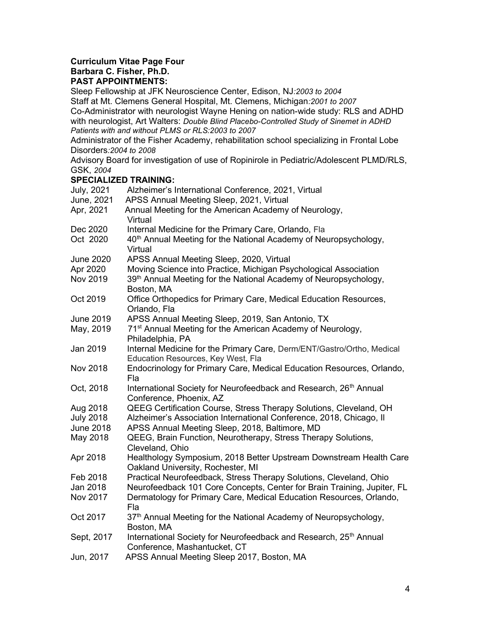### Curriculum Vitae Page Four Barbara C. Fisher, Ph.D. PAST APPOINTMENTS:

Sleep Fellowship at JFK Neuroscience Center, Edison, NJ:2003 to 2004

Staff at Mt. Clemens General Hospital, Mt. Clemens, Michigan:2001 to 2007

Co-Administrator with neurologist Wayne Hening on nation-wide study: RLS and ADHD with neurologist, Art Walters: Double Blind Placebo-Controlled Study of Sinemet in ADHD Patients with and without PLMS or RLS:2003 to 2007

Administrator of the Fisher Academy, rehabilitation school specializing in Frontal Lobe Disorders:2004 to 2008

Advisory Board for investigation of use of Ropinirole in Pediatric/Adolescent PLMD/RLS, GSK, 2004

## SPECIALIZED TRAINING:

| <b>July, 2021</b> | Alzheimer's International Conference, 2021, Virtual                                                           |
|-------------------|---------------------------------------------------------------------------------------------------------------|
| June, 2021        | APSS Annual Meeting Sleep, 2021, Virtual                                                                      |
| Apr, 2021         | Annual Meeting for the American Academy of Neurology,<br>Virtual                                              |
| Dec 2020          | Internal Medicine for the Primary Care, Orlando, Fla                                                          |
| Oct 2020          | 40 <sup>th</sup> Annual Meeting for the National Academy of Neuropsychology,<br>Virtual                       |
| <b>June 2020</b>  | APSS Annual Meeting Sleep, 2020, Virtual                                                                      |
| Apr 2020          | Moving Science into Practice, Michigan Psychological Association                                              |
| Nov 2019          | 39th Annual Meeting for the National Academy of Neuropsychology,<br>Boston, MA                                |
| Oct 2019          | Office Orthopedics for Primary Care, Medical Education Resources,<br>Orlando, Fla                             |
| June 2019         | APSS Annual Meeting Sleep, 2019, San Antonio, TX                                                              |
| May, 2019         | 71 <sup>st</sup> Annual Meeting for the American Academy of Neurology,<br>Philadelphia, PA                    |
| Jan 2019          | Internal Medicine for the Primary Care, Derm/ENT/Gastro/Ortho, Medical<br>Education Resources, Key West, Fla  |
| <b>Nov 2018</b>   | Endocrinology for Primary Care, Medical Education Resources, Orlando,<br>Fla                                  |
| Oct, 2018         | International Society for Neurofeedback and Research, 26 <sup>th</sup> Annual<br>Conference, Phoenix, AZ      |
| Aug 2018          | QEEG Certification Course, Stress Therapy Solutions, Cleveland, OH                                            |
| <b>July 2018</b>  | Alzheimer's Association International Conference, 2018, Chicago, II                                           |
| <b>June 2018</b>  | APSS Annual Meeting Sleep, 2018, Baltimore, MD                                                                |
| May 2018          | QEEG, Brain Function, Neurotherapy, Stress Therapy Solutions,<br>Cleveland, Ohio                              |
| Apr 2018          | Healthology Symposium, 2018 Better Upstream Downstream Health Care<br>Oakland University, Rochester, MI       |
| Feb 2018          | Practical Neurofeedback, Stress Therapy Solutions, Cleveland, Ohio                                            |
| Jan 2018          | Neurofeedback 101 Core Concepts, Center for Brain Training, Jupiter, FL                                       |
| Nov 2017          | Dermatology for Primary Care, Medical Education Resources, Orlando,<br>Fla                                    |
| Oct 2017          | 37th Annual Meeting for the National Academy of Neuropsychology,<br>Boston, MA                                |
| Sept, 2017        | International Society for Neurofeedback and Research, 25 <sup>th</sup> Annual<br>Conference, Mashantucket, CT |
| Jun, 2017         | APSS Annual Meeting Sleep 2017, Boston, MA                                                                    |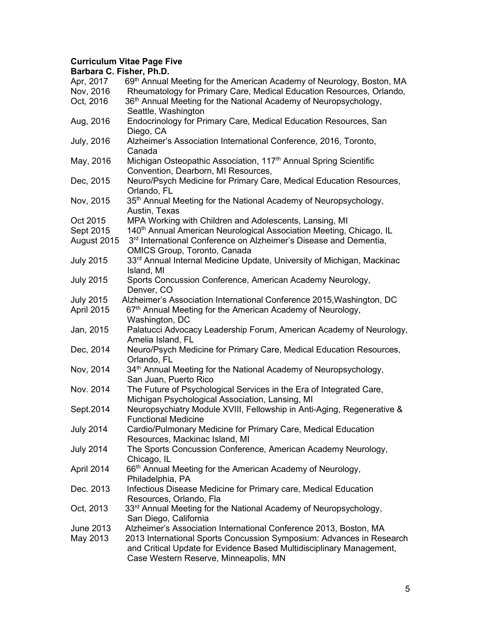# Curriculum Vitae Page Five

| Barbara C. Fisher, Ph.D. |                                                                                             |
|--------------------------|---------------------------------------------------------------------------------------------|
| Apr, 2017                | 69 <sup>th</sup> Annual Meeting for the American Academy of Neurology, Boston, MA           |
| Nov, 2016                | Rheumatology for Primary Care, Medical Education Resources, Orlando,                        |
| Oct, 2016                | 36 <sup>th</sup> Annual Meeting for the National Academy of Neuropsychology,                |
|                          | Seattle, Washington                                                                         |
| Aug, 2016                | Endocrinology for Primary Care, Medical Education Resources, San                            |
|                          | Diego, CA                                                                                   |
| <b>July, 2016</b>        | Alzheimer's Association International Conference, 2016, Toronto,                            |
|                          | Canada                                                                                      |
| May, 2016                | Michigan Osteopathic Association, 117 <sup>th</sup> Annual Spring Scientific                |
|                          | Convention, Dearborn, MI Resources,                                                         |
| Dec, 2015                | Neuro/Psych Medicine for Primary Care, Medical Education Resources,                         |
|                          | Orlando, FL                                                                                 |
| Nov, 2015                | 35 <sup>th</sup> Annual Meeting for the National Academy of Neuropsychology,                |
|                          | Austin, Texas                                                                               |
| Oct 2015                 | MPA Working with Children and Adolescents, Lansing, MI                                      |
| Sept 2015                | 140 <sup>th</sup> Annual American Neurological Association Meeting, Chicago, IL             |
| August 2015              | 3 <sup>rd</sup> International Conference on Alzheimer's Disease and Dementia,               |
|                          | OMICS Group, Toronto, Canada                                                                |
| <b>July 2015</b>         | 33 <sup>rd</sup> Annual Internal Medicine Update, University of Michigan, Mackinac          |
|                          | Island, MI                                                                                  |
| <b>July 2015</b>         | Sports Concussion Conference, American Academy Neurology,                                   |
|                          | Denver, CO                                                                                  |
| <b>July 2015</b>         | Alzheimer's Association International Conference 2015, Washington, DC                       |
| April 2015               | 67 <sup>th</sup> Annual Meeting for the American Academy of Neurology,                      |
|                          | Washington, DC                                                                              |
| Jan, 2015                | Palatucci Advocacy Leadership Forum, American Academy of Neurology,                         |
|                          | Amelia Island, FL                                                                           |
| Dec, 2014                | Neuro/Psych Medicine for Primary Care, Medical Education Resources,                         |
|                          | Orlando, FL<br>34 <sup>th</sup> Annual Meeting for the National Academy of Neuropsychology, |
| Nov, 2014                | San Juan, Puerto Rico                                                                       |
| Nov. 2014                | The Future of Psychological Services in the Era of Integrated Care,                         |
|                          | Michigan Psychological Association, Lansing, MI                                             |
| Sept.2014                | Neuropsychiatry Module XVIII, Fellowship in Anti-Aging, Regenerative &                      |
|                          | <b>Functional Medicine</b>                                                                  |
| <b>July 2014</b>         | Cardio/Pulmonary Medicine for Primary Care, Medical Education                               |
|                          | Resources, Mackinac Island, MI                                                              |
| <b>July 2014</b>         | The Sports Concussion Conference, American Academy Neurology,                               |
|                          | Chicago, IL                                                                                 |
| April 2014               | 66 <sup>th</sup> Annual Meeting for the American Academy of Neurology,                      |
|                          | Philadelphia, PA                                                                            |
| Dec. 2013                | Infectious Disease Medicine for Primary care, Medical Education                             |
|                          | Resources, Orlando, Fla                                                                     |
| Oct, 2013                | 33 <sup>rd</sup> Annual Meeting for the National Academy of Neuropsychology,                |
|                          | San Diego, California                                                                       |
| June 2013                | Alzheimer's Association International Conference 2013, Boston, MA                           |
| May 2013                 | 2013 International Sports Concussion Symposium: Advances in Research                        |
|                          | and Critical Update for Evidence Based Multidisciplinary Management,                        |
|                          | Case Western Reserve, Minneapolis, MN                                                       |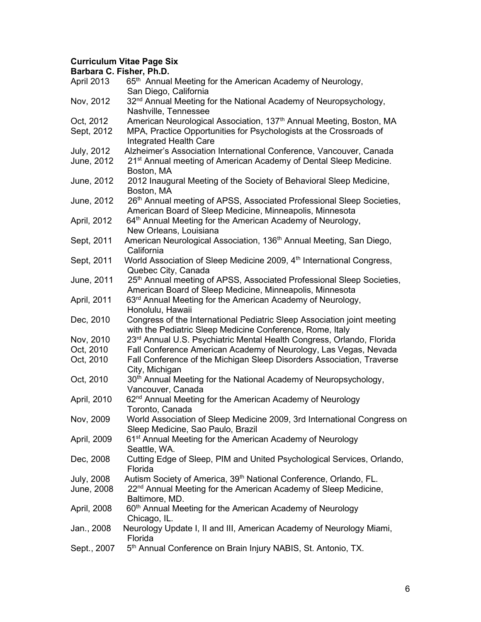# Curriculum Vitae Page Six

|                   | Barbara C. Fisher, Ph.D.                                                                                                             |
|-------------------|--------------------------------------------------------------------------------------------------------------------------------------|
| April 2013        | 65 <sup>th</sup> Annual Meeting for the American Academy of Neurology,                                                               |
|                   | San Diego, California                                                                                                                |
| Nov, 2012         | 32 <sup>nd</sup> Annual Meeting for the National Academy of Neuropsychology,                                                         |
|                   | Nashville, Tennessee                                                                                                                 |
| Oct, 2012         | American Neurological Association, 137 <sup>th</sup> Annual Meeting, Boston, MA                                                      |
| Sept, 2012        | MPA, Practice Opportunities for Psychologists at the Crossroads of                                                                   |
|                   | <b>Integrated Health Care</b>                                                                                                        |
| <b>July, 2012</b> | Alzheimer's Association International Conference, Vancouver, Canada                                                                  |
| June, 2012        | 21 <sup>st</sup> Annual meeting of American Academy of Dental Sleep Medicine.                                                        |
|                   | Boston, MA                                                                                                                           |
| June, 2012        | 2012 Inaugural Meeting of the Society of Behavioral Sleep Medicine,                                                                  |
|                   | Boston, MA                                                                                                                           |
| June, 2012        | 26th Annual meeting of APSS, Associated Professional Sleep Societies,                                                                |
|                   | American Board of Sleep Medicine, Minneapolis, Minnesota                                                                             |
| April, 2012       | 64th Annual Meeting for the American Academy of Neurology,                                                                           |
|                   | New Orleans, Louisiana                                                                                                               |
| Sept, 2011        | American Neurological Association, 136 <sup>th</sup> Annual Meeting, San Diego,                                                      |
|                   | California                                                                                                                           |
| Sept, 2011        | World Association of Sleep Medicine 2009, 4 <sup>th</sup> International Congress,                                                    |
|                   | Quebec City, Canada                                                                                                                  |
| June, 2011        | 25 <sup>th</sup> Annual meeting of APSS, Associated Professional Sleep Societies,                                                    |
|                   | American Board of Sleep Medicine, Minneapolis, Minnesota                                                                             |
| April, 2011       | 63 <sup>rd</sup> Annual Meeting for the American Academy of Neurology,                                                               |
| Dec, 2010         | Honolulu, Hawaii                                                                                                                     |
|                   | Congress of the International Pediatric Sleep Association joint meeting<br>with the Pediatric Sleep Medicine Conference, Rome, Italy |
| Nov, 2010         | 23 <sup>rd</sup> Annual U.S. Psychiatric Mental Health Congress, Orlando, Florida                                                    |
| Oct, 2010         | Fall Conference American Academy of Neurology, Las Vegas, Nevada                                                                     |
| Oct, 2010         | Fall Conference of the Michigan Sleep Disorders Association, Traverse                                                                |
|                   | City, Michigan                                                                                                                       |
| Oct, 2010         | 30 <sup>th</sup> Annual Meeting for the National Academy of Neuropsychology,                                                         |
|                   | Vancouver, Canada                                                                                                                    |
| April, 2010       | 62 <sup>nd</sup> Annual Meeting for the American Academy of Neurology                                                                |
|                   | Toronto, Canada                                                                                                                      |
| Nov, 2009         | World Association of Sleep Medicine 2009, 3rd International Congress on                                                              |
|                   | Sleep Medicine, Sao Paulo, Brazil                                                                                                    |
| April, 2009       | 61 <sup>st</sup> Annual Meeting for the American Academy of Neurology                                                                |
|                   | Seattle, WA.                                                                                                                         |
| Dec, 2008         | Cutting Edge of Sleep, PIM and United Psychological Services, Orlando,                                                               |
|                   | Florida                                                                                                                              |
| <b>July, 2008</b> | Autism Society of America, 39 <sup>th</sup> National Conference, Orlando, FL.                                                        |
| June, 2008        | 22 <sup>nd</sup> Annual Meeting for the American Academy of Sleep Medicine,                                                          |
|                   | Baltimore, MD.                                                                                                                       |
| April, 2008       | 60 <sup>th</sup> Annual Meeting for the American Academy of Neurology                                                                |
|                   | Chicago, IL.                                                                                                                         |
| Jan., 2008        | Neurology Update I, II and III, American Academy of Neurology Miami,                                                                 |
|                   | Florida                                                                                                                              |
| Sept., 2007       | 5 <sup>th</sup> Annual Conference on Brain Injury NABIS, St. Antonio, TX.                                                            |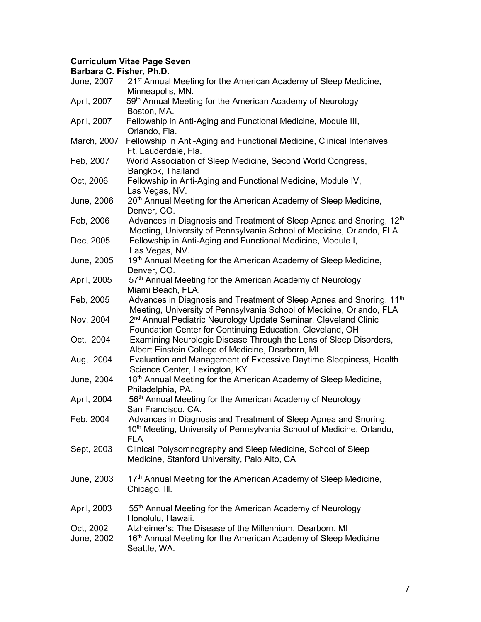# Curriculum Vitae Page Seven

| Barbara C. Fisher, Ph.D. |                                                                                                                                                                    |
|--------------------------|--------------------------------------------------------------------------------------------------------------------------------------------------------------------|
| June, 2007               | 21 <sup>st</sup> Annual Meeting for the American Academy of Sleep Medicine,<br>Minneapolis, MN.                                                                    |
| April, 2007              | 59 <sup>th</sup> Annual Meeting for the American Academy of Neurology<br>Boston, MA.                                                                               |
| April, 2007              | Fellowship in Anti-Aging and Functional Medicine, Module III,<br>Orlando, Fla.                                                                                     |
| March, 2007              | Fellowship in Anti-Aging and Functional Medicine, Clinical Intensives<br>Ft. Lauderdale, Fla.                                                                      |
| Feb, 2007                | World Association of Sleep Medicine, Second World Congress,<br>Bangkok, Thailand                                                                                   |
| Oct, 2006                | Fellowship in Anti-Aging and Functional Medicine, Module IV,<br>Las Vegas, NV.                                                                                     |
| June, 2006               | 20 <sup>th</sup> Annual Meeting for the American Academy of Sleep Medicine,<br>Denver, CO.                                                                         |
| Feb, 2006                | Advances in Diagnosis and Treatment of Sleep Apnea and Snoring, 12 <sup>th</sup><br>Meeting, University of Pennsylvania School of Medicine, Orlando, FLA           |
| Dec, 2005                | Fellowship in Anti-Aging and Functional Medicine, Module I,<br>Las Vegas, NV.                                                                                      |
| June, 2005               | 19th Annual Meeting for the American Academy of Sleep Medicine,<br>Denver, CO.                                                                                     |
| April, 2005              | 57th Annual Meeting for the American Academy of Neurology<br>Miami Beach, FLA.                                                                                     |
| Feb, 2005                | Advances in Diagnosis and Treatment of Sleep Apnea and Snoring, 11 <sup>th</sup><br>Meeting, University of Pennsylvania School of Medicine, Orlando, FLA           |
| Nov, 2004                | 2 <sup>nd</sup> Annual Pediatric Neurology Update Seminar, Cleveland Clinic<br>Foundation Center for Continuing Education, Cleveland, OH                           |
| Oct, 2004                | Examining Neurologic Disease Through the Lens of Sleep Disorders,<br>Albert Einstein College of Medicine, Dearborn, MI                                             |
| Aug, 2004                | Evaluation and Management of Excessive Daytime Sleepiness, Health<br>Science Center, Lexington, KY                                                                 |
| June, 2004               | 18 <sup>th</sup> Annual Meeting for the American Academy of Sleep Medicine,<br>Philadelphia, PA.                                                                   |
| April, 2004              | 56th Annual Meeting for the American Academy of Neurology<br>San Francisco. CA.                                                                                    |
| Feb, 2004                | Advances in Diagnosis and Treatment of Sleep Apnea and Snoring,<br>10 <sup>th</sup> Meeting, University of Pennsylvania School of Medicine, Orlando,<br><b>FLA</b> |
| Sept, 2003               | Clinical Polysomnography and Sleep Medicine, School of Sleep<br>Medicine, Stanford University, Palo Alto, CA                                                       |
| June, 2003               | 17th Annual Meeting for the American Academy of Sleep Medicine,<br>Chicago, Ill.                                                                                   |
| April, 2003              | 55 <sup>th</sup> Annual Meeting for the American Academy of Neurology<br>Honolulu, Hawaii.                                                                         |
| Oct, 2002<br>June, 2002  | Alzheimer's: The Disease of the Millennium, Dearborn, MI<br>16 <sup>th</sup> Annual Meeting for the American Academy of Sleep Medicine<br>Seattle, WA.             |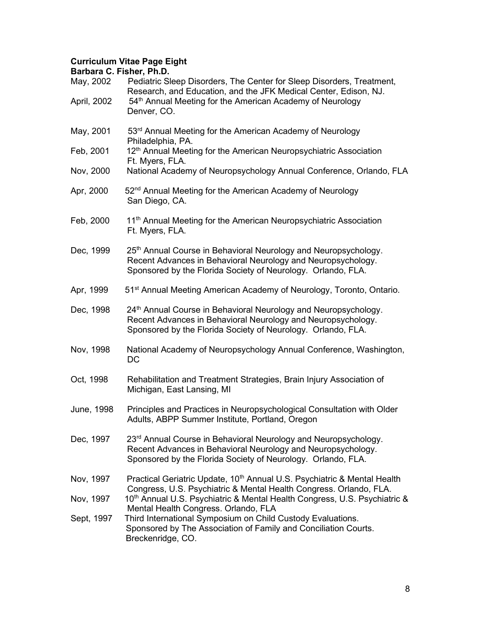# Curriculum Vitae Page Eight

|             | Barbara C. Fisher, Ph.D.                                                                                                                                                                                    |
|-------------|-------------------------------------------------------------------------------------------------------------------------------------------------------------------------------------------------------------|
| May, 2002   | Pediatric Sleep Disorders, The Center for Sleep Disorders, Treatment,<br>Research, and Education, and the JFK Medical Center, Edison, NJ.                                                                   |
| April, 2002 | 54 <sup>th</sup> Annual Meeting for the American Academy of Neurology<br>Denver, CO.                                                                                                                        |
| May, 2001   | 53 <sup>rd</sup> Annual Meeting for the American Academy of Neurology<br>Philadelphia, PA.                                                                                                                  |
| Feb, 2001   | 12 <sup>th</sup> Annual Meeting for the American Neuropsychiatric Association<br>Ft. Myers, FLA.                                                                                                            |
| Nov, 2000   | National Academy of Neuropsychology Annual Conference, Orlando, FLA                                                                                                                                         |
| Apr, 2000   | 52 <sup>nd</sup> Annual Meeting for the American Academy of Neurology<br>San Diego, CA.                                                                                                                     |
| Feb, 2000   | 11 <sup>th</sup> Annual Meeting for the American Neuropsychiatric Association<br>Ft. Myers, FLA.                                                                                                            |
| Dec, 1999   | 25 <sup>th</sup> Annual Course in Behavioral Neurology and Neuropsychology.<br>Recent Advances in Behavioral Neurology and Neuropsychology.<br>Sponsored by the Florida Society of Neurology. Orlando, FLA. |
| Apr, 1999   | 51 <sup>st</sup> Annual Meeting American Academy of Neurology, Toronto, Ontario.                                                                                                                            |
| Dec, 1998   | 24 <sup>th</sup> Annual Course in Behavioral Neurology and Neuropsychology.<br>Recent Advances in Behavioral Neurology and Neuropsychology.<br>Sponsored by the Florida Society of Neurology. Orlando, FLA. |
| Nov, 1998   | National Academy of Neuropsychology Annual Conference, Washington,<br>DC                                                                                                                                    |
| Oct, 1998   | Rehabilitation and Treatment Strategies, Brain Injury Association of<br>Michigan, East Lansing, MI                                                                                                          |
| June, 1998  | Principles and Practices in Neuropsychological Consultation with Older<br>Adults, ABPP Summer Institute, Portland, Oregon                                                                                   |
| Dec, 1997   | 23rd Annual Course in Behavioral Neurology and Neuropsychology.<br>Recent Advances in Behavioral Neurology and Neuropsychology.<br>Sponsored by the Florida Society of Neurology. Orlando, FLA.             |
| Nov. 1997   | Practical Geriatric Update, 10 <sup>th</sup> Annual U.S. Psychiatric & Mental Health<br>Congress, U.S. Psychiatric & Mental Health Congress. Orlando, FLA.                                                  |
| Nov, 1997   | 10 <sup>th</sup> Annual U.S. Psychiatric & Mental Health Congress, U.S. Psychiatric &<br>Mental Health Congress. Orlando, FLA                                                                               |
| Sept, 1997  | Third International Symposium on Child Custody Evaluations.<br>Sponsored by The Association of Family and Conciliation Courts.<br>Breckenridge, CO.                                                         |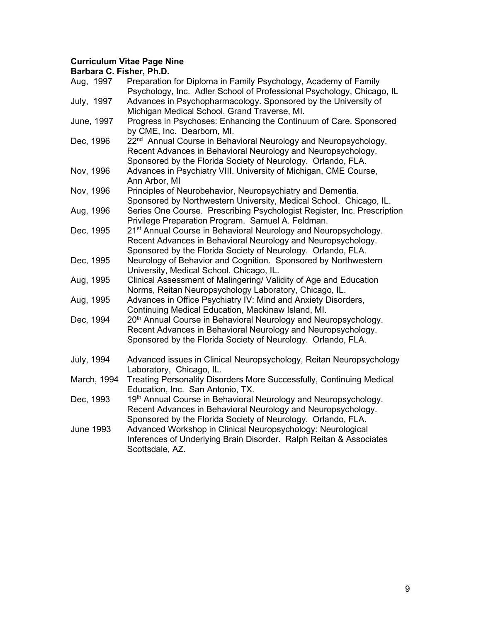## Curriculum Vitae Page Nine

| Aug, 1997         | Preparation for Diploma in Family Psychology, Academy of Family<br>Psychology, Inc. Adler School of Professional Psychology, Chicago, IL                                                                    |
|-------------------|-------------------------------------------------------------------------------------------------------------------------------------------------------------------------------------------------------------|
| July, 1997        | Advances in Psychopharmacology. Sponsored by the University of<br>Michigan Medical School. Grand Traverse, MI.                                                                                              |
| June, 1997        | Progress in Psychoses: Enhancing the Continuum of Care. Sponsored<br>by CME, Inc. Dearborn, MI.                                                                                                             |
| Dec, 1996         | 22 <sup>nd</sup> Annual Course in Behavioral Neurology and Neuropsychology.<br>Recent Advances in Behavioral Neurology and Neuropsychology.<br>Sponsored by the Florida Society of Neurology. Orlando, FLA. |
| Nov, 1996         | Advances in Psychiatry VIII. University of Michigan, CME Course,<br>Ann Arbor, MI                                                                                                                           |
| Nov, 1996         | Principles of Neurobehavior, Neuropsychiatry and Dementia.<br>Sponsored by Northwestern University, Medical School. Chicago, IL.                                                                            |
| Aug, 1996         | Series One Course. Prescribing Psychologist Register, Inc. Prescription<br>Privilege Preparation Program. Samuel A. Feldman.                                                                                |
| Dec, 1995         | 21 <sup>st</sup> Annual Course in Behavioral Neurology and Neuropsychology.<br>Recent Advances in Behavioral Neurology and Neuropsychology.<br>Sponsored by the Florida Society of Neurology. Orlando, FLA. |
| Dec, 1995         | Neurology of Behavior and Cognition. Sponsored by Northwestern<br>University, Medical School. Chicago, IL.                                                                                                  |
| Aug, 1995         | Clinical Assessment of Malingering/ Validity of Age and Education<br>Norms, Reitan Neuropsychology Laboratory, Chicago, IL.                                                                                 |
| Aug, 1995         | Advances in Office Psychiatry IV: Mind and Anxiety Disorders,<br>Continuing Medical Education, Mackinaw Island, MI.                                                                                         |
| Dec, 1994         | 20 <sup>th</sup> Annual Course in Behavioral Neurology and Neuropsychology.<br>Recent Advances in Behavioral Neurology and Neuropsychology.<br>Sponsored by the Florida Society of Neurology. Orlando, FLA. |
| <b>July, 1994</b> | Advanced issues in Clinical Neuropsychology, Reitan Neuropsychology<br>Laboratory, Chicago, IL.                                                                                                             |
| March, 1994       | Treating Personality Disorders More Successfully, Continuing Medical<br>Education, Inc. San Antonio, TX.                                                                                                    |
| Dec, 1993         | 19th Annual Course in Behavioral Neurology and Neuropsychology.<br>Recent Advances in Behavioral Neurology and Neuropsychology.<br>Sponsored by the Florida Society of Neurology. Orlando, FLA.             |
| <b>June 1993</b>  | Advanced Workshop in Clinical Neuropsychology: Neurological<br>Inferences of Underlying Brain Disorder. Ralph Reitan & Associates<br>Scottsdale, AZ.                                                        |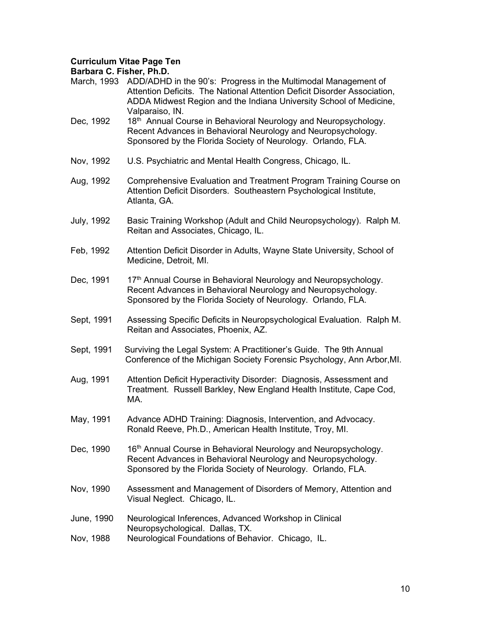## Curriculum Vitae Page Ten

| Barbara G. Fisher, Ph.D.                                                                                                                                                                                                            |
|-------------------------------------------------------------------------------------------------------------------------------------------------------------------------------------------------------------------------------------|
| ADD/ADHD in the 90's: Progress in the Multimodal Management of<br>Attention Deficits. The National Attention Deficit Disorder Association,<br>ADDA Midwest Region and the Indiana University School of Medicine,<br>Valparaiso, IN. |
| 18th Annual Course in Behavioral Neurology and Neuropsychology.<br>Recent Advances in Behavioral Neurology and Neuropsychology.<br>Sponsored by the Florida Society of Neurology. Orlando, FLA.                                     |
| U.S. Psychiatric and Mental Health Congress, Chicago, IL.                                                                                                                                                                           |
| Comprehensive Evaluation and Treatment Program Training Course on<br>Attention Deficit Disorders. Southeastern Psychological Institute,<br>Atlanta, GA.                                                                             |
| Basic Training Workshop (Adult and Child Neuropsychology). Ralph M.<br>Reitan and Associates, Chicago, IL.                                                                                                                          |
| Attention Deficit Disorder in Adults, Wayne State University, School of<br>Medicine, Detroit, MI.                                                                                                                                   |
| 17th Annual Course in Behavioral Neurology and Neuropsychology.<br>Recent Advances in Behavioral Neurology and Neuropsychology.<br>Sponsored by the Florida Society of Neurology. Orlando, FLA.                                     |
| Assessing Specific Deficits in Neuropsychological Evaluation. Ralph M.<br>Reitan and Associates, Phoenix, AZ.                                                                                                                       |
| Surviving the Legal System: A Practitioner's Guide. The 9th Annual<br>Conference of the Michigan Society Forensic Psychology, Ann Arbor, MI.                                                                                        |
| Attention Deficit Hyperactivity Disorder: Diagnosis, Assessment and<br>Treatment. Russell Barkley, New England Health Institute, Cape Cod,<br>MA.                                                                                   |
| Advance ADHD Training: Diagnosis, Intervention, and Advocacy.<br>Ronald Reeve, Ph.D., American Health Institute, Troy, MI.                                                                                                          |
| 16 <sup>th</sup> Annual Course in Behavioral Neurology and Neuropsychology.<br>Recent Advances in Behavioral Neurology and Neuropsychology.<br>Sponsored by the Florida Society of Neurology. Orlando, FLA.                         |
| Assessment and Management of Disorders of Memory, Attention and<br>Visual Neglect. Chicago, IL.                                                                                                                                     |
| Neurological Inferences, Advanced Workshop in Clinical                                                                                                                                                                              |
| Neuropsychological. Dallas, TX.<br>Neurological Foundations of Behavior. Chicago, IL.                                                                                                                                               |
|                                                                                                                                                                                                                                     |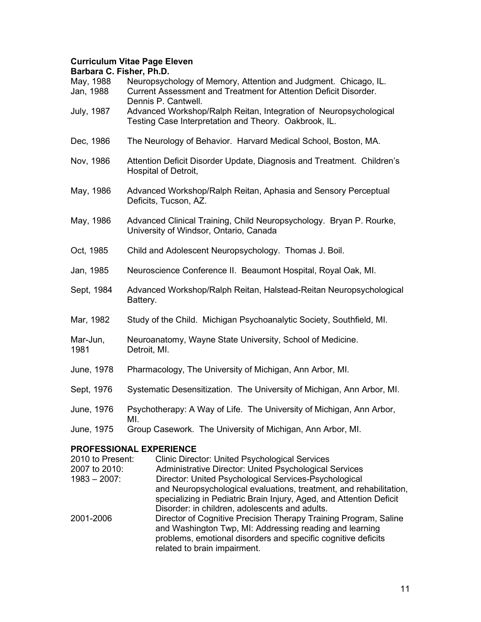# Curriculum Vitae Page Eleven

| Barbara C. Fisher, Ph.D. |                                                                                                                                                            |
|--------------------------|------------------------------------------------------------------------------------------------------------------------------------------------------------|
| May, 1988<br>Jan, 1988   | Neuropsychology of Memory, Attention and Judgment. Chicago, IL.<br>Current Assessment and Treatment for Attention Deficit Disorder.<br>Dennis P. Cantwell. |
| <b>July, 1987</b>        | Advanced Workshop/Ralph Reitan, Integration of Neuropsychological<br>Testing Case Interpretation and Theory. Oakbrook, IL.                                 |
| Dec, 1986                | The Neurology of Behavior. Harvard Medical School, Boston, MA.                                                                                             |
| Nov, 1986                | Attention Deficit Disorder Update, Diagnosis and Treatment. Children's<br>Hospital of Detroit,                                                             |
| May, 1986                | Advanced Workshop/Ralph Reitan, Aphasia and Sensory Perceptual<br>Deficits, Tucson, AZ.                                                                    |
| May, 1986                | Advanced Clinical Training, Child Neuropsychology. Bryan P. Rourke,<br>University of Windsor, Ontario, Canada                                              |
| Oct, 1985                | Child and Adolescent Neuropsychology. Thomas J. Boil.                                                                                                      |
| Jan, 1985                | Neuroscience Conference II. Beaumont Hospital, Royal Oak, MI.                                                                                              |
| Sept, 1984               | Advanced Workshop/Ralph Reitan, Halstead-Reitan Neuropsychological<br>Battery.                                                                             |
| Mar, 1982                | Study of the Child. Michigan Psychoanalytic Society, Southfield, MI.                                                                                       |
| Mar-Jun,<br>1981         | Neuroanatomy, Wayne State University, School of Medicine.<br>Detroit, MI.                                                                                  |
| June, 1978               | Pharmacology, The University of Michigan, Ann Arbor, MI.                                                                                                   |
| Sept, 1976               | Systematic Desensitization. The University of Michigan, Ann Arbor, MI.                                                                                     |
| June, 1976               | Psychotherapy: A Way of Life. The University of Michigan, Ann Arbor,<br>MI.                                                                                |
| June, 1975               | Group Casework. The University of Michigan, Ann Arbor, MI.                                                                                                 |

## PROFESSIONAL EXPERIENCE

| 2010 to Present: | <b>Clinic Director: United Psychological Services</b>                                                                                                                                                                        |
|------------------|------------------------------------------------------------------------------------------------------------------------------------------------------------------------------------------------------------------------------|
| 2007 to 2010:    | Administrative Director: United Psychological Services                                                                                                                                                                       |
| $1983 - 2007$ :  | Director: United Psychological Services-Psychological                                                                                                                                                                        |
|                  | and Neuropsychological evaluations, treatment, and rehabilitation,                                                                                                                                                           |
|                  | specializing in Pediatric Brain Injury, Aged, and Attention Deficit                                                                                                                                                          |
|                  | Disorder: in children, adolescents and adults.                                                                                                                                                                               |
| 2001-2006        | Director of Cognitive Precision Therapy Training Program, Saline<br>and Washington Twp, MI: Addressing reading and learning<br>problems, emotional disorders and specific cognitive deficits<br>related to brain impairment. |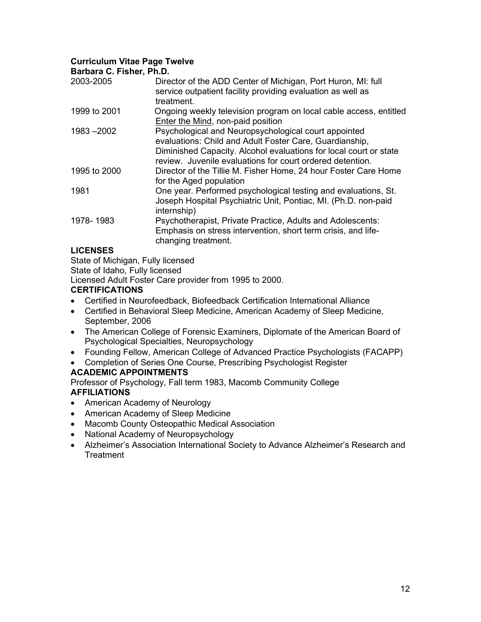## Curriculum Vitae Page Twelve

Barbara C. Fisher, Ph.D.

| 2003-2005    | Director of the ADD Center of Michigan, Port Huron, MI: full<br>service outpatient facility providing evaluation as well as<br>treatment.                                                                                                         |
|--------------|---------------------------------------------------------------------------------------------------------------------------------------------------------------------------------------------------------------------------------------------------|
| 1999 to 2001 | Ongoing weekly television program on local cable access, entitled<br>Enter the Mind, non-paid position                                                                                                                                            |
| 1983 - 2002  | Psychological and Neuropsychological court appointed<br>evaluations: Child and Adult Foster Care, Guardianship,<br>Diminished Capacity. Alcohol evaluations for local court or state<br>review. Juvenile evaluations for court ordered detention. |
| 1995 to 2000 | Director of the Tillie M. Fisher Home, 24 hour Foster Care Home<br>for the Aged population                                                                                                                                                        |
| 1981         | One year. Performed psychological testing and evaluations, St.<br>Joseph Hospital Psychiatric Unit, Pontiac, MI. (Ph.D. non-paid<br>internship)                                                                                                   |
| 1978-1983    | Psychotherapist, Private Practice, Adults and Adolescents:<br>Emphasis on stress intervention, short term crisis, and life-<br>changing treatment.                                                                                                |

## LICENSES

State of Michigan, Fully licensed State of Idaho, Fully licensed

Licensed Adult Foster Care provider from 1995 to 2000.

## **CERTIFICATIONS**

- Certified in Neurofeedback, Biofeedback Certification International Alliance
- Certified in Behavioral Sleep Medicine, American Academy of Sleep Medicine, September, 2006
- The American College of Forensic Examiners, Diplomate of the American Board of Psychological Specialties, Neuropsychology
- Founding Fellow, American College of Advanced Practice Psychologists (FACAPP)
- Completion of Series One Course, Prescribing Psychologist Register

## ACADEMIC APPOINTMENTS

Professor of Psychology, Fall term 1983, Macomb Community College AFFILIATIONS

- American Academy of Neurology
- American Academy of Sleep Medicine
- Macomb County Osteopathic Medical Association
- National Academy of Neuropsychology
- Alzheimer's Association International Society to Advance Alzheimer's Research and **Treatment**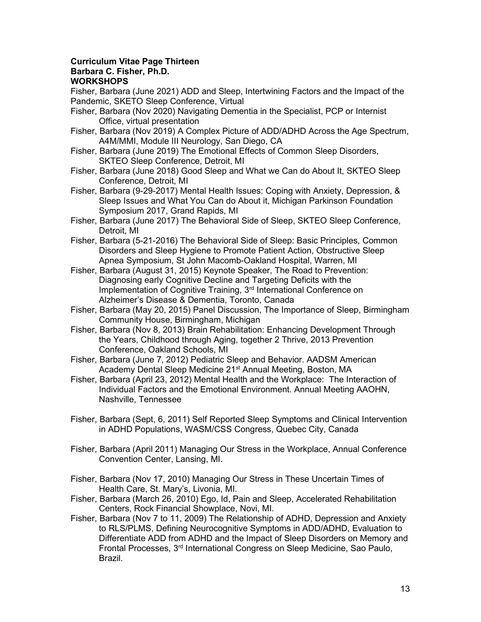## Curriculum Vitae Page Thirteen

## Barbara C. Fisher, Ph.D.

## **WORKSHOPS**

Fisher, Barbara (June 2021) ADD and Sleep, Intertwining Factors and the Impact of the Pandemic, SKETO Sleep Conference, Virtual

- Fisher, Barbara (Nov 2020) Navigating Dementia in the Specialist, PCP or Internist Office, virtual presentation
- Fisher, Barbara (Nov 2019) A Complex Picture of ADD/ADHD Across the Age Spectrum, A4M/MMI, Module III Neurology, San Diego, CA
- Fisher, Barbara (June 2019) The Emotional Effects of Common Sleep Disorders, SKTEO Sleep Conference, Detroit, MI
- Fisher, Barbara (June 2018) Good Sleep and What we Can do About It, SKTEO Sleep Conference, Detroit, MI
- Fisher, Barbara (9-29-2017) Mental Health Issues: Coping with Anxiety, Depression, & Sleep Issues and What You Can do About it, Michigan Parkinson Foundation Symposium 2017, Grand Rapids, MI
- Fisher, Barbara (June 2017) The Behavioral Side of Sleep, SKTEO Sleep Conference, Detroit, MI
- Fisher, Barbara (5-21-2016) The Behavioral Side of Sleep: Basic Principles, Common Disorders and Sleep Hygiene to Promote Patient Action, Obstructive Sleep Apnea Symposium, St John Macomb-Oakland Hospital, Warren, MI
- Fisher, Barbara (August 31, 2015) Keynote Speaker, The Road to Prevention: Diagnosing early Cognitive Decline and Targeting Deficits with the Implementation of Cognitive Training, 3<sup>rd</sup> International Conference on Alzheimer's Disease & Dementia, Toronto, Canada
- Fisher, Barbara (May 20, 2015) Panel Discussion, The Importance of Sleep, Birmingham Community House, Birmingham, Michigan
- Fisher, Barbara (Nov 8, 2013) Brain Rehabilitation: Enhancing Development Through the Years, Childhood through Aging, together 2 Thrive, 2013 Prevention Conference, Oakland Schools, MI
- Fisher, Barbara (June 7, 2012) Pediatric Sleep and Behavior. AADSM American Academy Dental Sleep Medicine 21<sup>st</sup> Annual Meeting, Boston, MA
- Fisher, Barbara (April 23, 2012) Mental Health and the Workplace: The Interaction of Individual Factors and the Emotional Environment. Annual Meeting AAOHN, Nashville, Tennessee
- Fisher, Barbara (Sept, 6, 2011) Self Reported Sleep Symptoms and Clinical Intervention in ADHD Populations, WASM/CSS Congress, Quebec City, Canada
- Fisher, Barbara (April 2011) Managing Our Stress in the Workplace, Annual Conference Convention Center, Lansing, MI.
- Fisher, Barbara (Nov 17, 2010) Managing Our Stress in These Uncertain Times of Health Care, St. Mary's, Livonia, MI.
- Fisher, Barbara (March 26, 2010) Ego, Id, Pain and Sleep, Accelerated Rehabilitation Centers, Rock Financial Showplace, Novi, MI.
- Fisher, Barbara (Nov 7 to 11, 2009) The Relationship of ADHD, Depression and Anxiety to RLS/PLMS, Defining Neurocognitive Symptoms in ADD/ADHD, Evaluation to Differentiate ADD from ADHD and the Impact of Sleep Disorders on Memory and Frontal Processes, 3rd International Congress on Sleep Medicine, Sao Paulo, Brazil.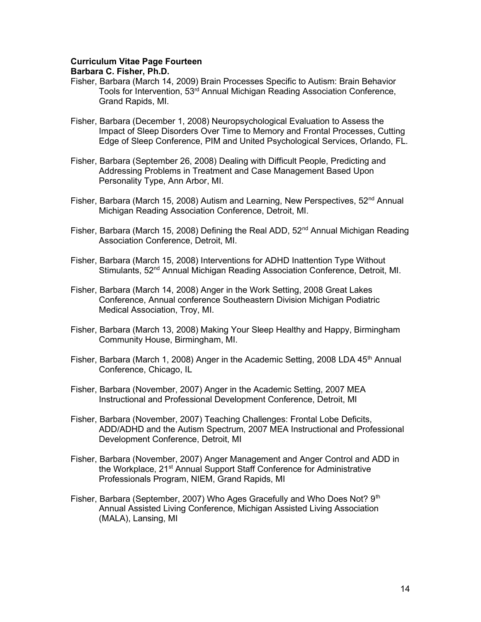### Curriculum Vitae Page Fourteen

- Fisher, Barbara (March 14, 2009) Brain Processes Specific to Autism: Brain Behavior Tools for Intervention, 53<sup>rd</sup> Annual Michigan Reading Association Conference, Grand Rapids, MI.
- Fisher, Barbara (December 1, 2008) Neuropsychological Evaluation to Assess the Impact of Sleep Disorders Over Time to Memory and Frontal Processes, Cutting Edge of Sleep Conference, PIM and United Psychological Services, Orlando, FL.
- Fisher, Barbara (September 26, 2008) Dealing with Difficult People, Predicting and Addressing Problems in Treatment and Case Management Based Upon Personality Type, Ann Arbor, MI.
- Fisher, Barbara (March 15, 2008) Autism and Learning, New Perspectives,  $52<sup>nd</sup>$  Annual Michigan Reading Association Conference, Detroit, MI.
- Fisher, Barbara (March 15, 2008) Defining the Real ADD,  $52<sup>nd</sup>$  Annual Michigan Reading Association Conference, Detroit, MI.
- Fisher, Barbara (March 15, 2008) Interventions for ADHD Inattention Type Without Stimulants, 52<sup>nd</sup> Annual Michigan Reading Association Conference, Detroit, MI.
- Fisher, Barbara (March 14, 2008) Anger in the Work Setting, 2008 Great Lakes Conference, Annual conference Southeastern Division Michigan Podiatric Medical Association, Troy, MI.
- Fisher, Barbara (March 13, 2008) Making Your Sleep Healthy and Happy, Birmingham Community House, Birmingham, MI.
- Fisher, Barbara (March 1, 2008) Anger in the Academic Setting, 2008 LDA 45<sup>th</sup> Annual Conference, Chicago, IL
- Fisher, Barbara (November, 2007) Anger in the Academic Setting, 2007 MEA Instructional and Professional Development Conference, Detroit, MI
- Fisher, Barbara (November, 2007) Teaching Challenges: Frontal Lobe Deficits, ADD/ADHD and the Autism Spectrum, 2007 MEA Instructional and Professional Development Conference, Detroit, MI
- Fisher, Barbara (November, 2007) Anger Management and Anger Control and ADD in the Workplace, 21<sup>st</sup> Annual Support Staff Conference for Administrative Professionals Program, NIEM, Grand Rapids, MI
- Fisher, Barbara (September, 2007) Who Ages Gracefully and Who Does Not? 9<sup>th</sup> Annual Assisted Living Conference, Michigan Assisted Living Association (MALA), Lansing, MI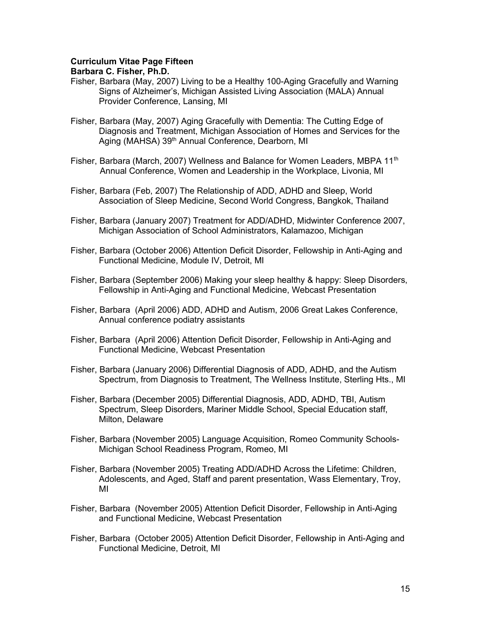## Curriculum Vitae Page Fifteen

- Fisher, Barbara (May, 2007) Living to be a Healthy 100-Aging Gracefully and Warning Signs of Alzheimer's, Michigan Assisted Living Association (MALA) Annual Provider Conference, Lansing, MI
- Fisher, Barbara (May, 2007) Aging Gracefully with Dementia: The Cutting Edge of Diagnosis and Treatment, Michigan Association of Homes and Services for the Aging (MAHSA) 39<sup>th</sup> Annual Conference, Dearborn, MI
- Fisher, Barbara (March, 2007) Wellness and Balance for Women Leaders, MBPA 11<sup>th</sup> Annual Conference, Women and Leadership in the Workplace, Livonia, MI
- Fisher, Barbara (Feb, 2007) The Relationship of ADD, ADHD and Sleep, World Association of Sleep Medicine, Second World Congress, Bangkok, Thailand
- Fisher, Barbara (January 2007) Treatment for ADD/ADHD, Midwinter Conference 2007, Michigan Association of School Administrators, Kalamazoo, Michigan
- Fisher, Barbara (October 2006) Attention Deficit Disorder, Fellowship in Anti-Aging and Functional Medicine, Module IV, Detroit, MI
- Fisher, Barbara (September 2006) Making your sleep healthy & happy: Sleep Disorders, Fellowship in Anti-Aging and Functional Medicine, Webcast Presentation
- Fisher, Barbara (April 2006) ADD, ADHD and Autism, 2006 Great Lakes Conference, Annual conference podiatry assistants
- Fisher, Barbara (April 2006) Attention Deficit Disorder, Fellowship in Anti-Aging and Functional Medicine, Webcast Presentation
- Fisher, Barbara (January 2006) Differential Diagnosis of ADD, ADHD, and the Autism Spectrum, from Diagnosis to Treatment, The Wellness Institute, Sterling Hts., MI
- Fisher, Barbara (December 2005) Differential Diagnosis, ADD, ADHD, TBI, Autism Spectrum, Sleep Disorders, Mariner Middle School, Special Education staff, Milton, Delaware
- Fisher, Barbara (November 2005) Language Acquisition, Romeo Community Schools-Michigan School Readiness Program, Romeo, MI
- Fisher, Barbara (November 2005) Treating ADD/ADHD Across the Lifetime: Children, Adolescents, and Aged, Staff and parent presentation, Wass Elementary, Troy, MI
- Fisher, Barbara (November 2005) Attention Deficit Disorder, Fellowship in Anti-Aging and Functional Medicine, Webcast Presentation
- Fisher, Barbara (October 2005) Attention Deficit Disorder, Fellowship in Anti-Aging and Functional Medicine, Detroit, MI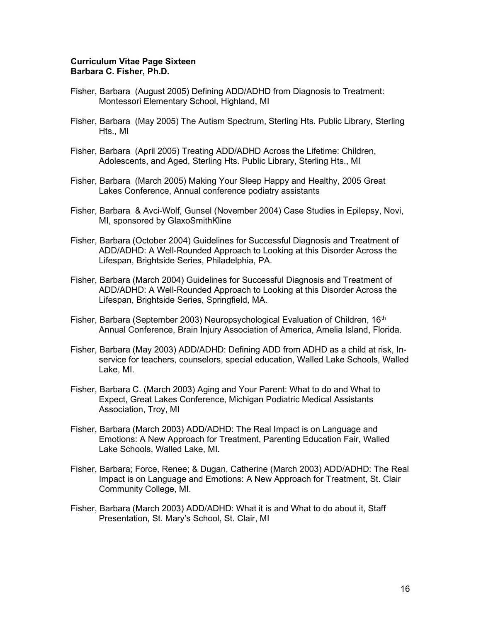#### Curriculum Vitae Page Sixteen Barbara C. Fisher, Ph.D.

- Fisher, Barbara (August 2005) Defining ADD/ADHD from Diagnosis to Treatment: Montessori Elementary School, Highland, MI
- Fisher, Barbara (May 2005) The Autism Spectrum, Sterling Hts. Public Library, Sterling Hts., MI
- Fisher, Barbara (April 2005) Treating ADD/ADHD Across the Lifetime: Children, Adolescents, and Aged, Sterling Hts. Public Library, Sterling Hts., MI
- Fisher, Barbara (March 2005) Making Your Sleep Happy and Healthy, 2005 Great Lakes Conference, Annual conference podiatry assistants
- Fisher, Barbara & Avci-Wolf, Gunsel (November 2004) Case Studies in Epilepsy, Novi, MI, sponsored by GlaxoSmithKline
- Fisher, Barbara (October 2004) Guidelines for Successful Diagnosis and Treatment of ADD/ADHD: A Well-Rounded Approach to Looking at this Disorder Across the Lifespan, Brightside Series, Philadelphia, PA.
- Fisher, Barbara (March 2004) Guidelines for Successful Diagnosis and Treatment of ADD/ADHD: A Well-Rounded Approach to Looking at this Disorder Across the Lifespan, Brightside Series, Springfield, MA.
- Fisher, Barbara (September 2003) Neuropsychological Evaluation of Children, 16<sup>th</sup> Annual Conference, Brain Injury Association of America, Amelia Island, Florida.
- Fisher, Barbara (May 2003) ADD/ADHD: Defining ADD from ADHD as a child at risk, Inservice for teachers, counselors, special education, Walled Lake Schools, Walled Lake, MI.
- Fisher, Barbara C. (March 2003) Aging and Your Parent: What to do and What to Expect, Great Lakes Conference, Michigan Podiatric Medical Assistants Association, Troy, MI
- Fisher, Barbara (March 2003) ADD/ADHD: The Real Impact is on Language and Emotions: A New Approach for Treatment, Parenting Education Fair, Walled Lake Schools, Walled Lake, MI.
- Fisher, Barbara; Force, Renee; & Dugan, Catherine (March 2003) ADD/ADHD: The Real Impact is on Language and Emotions: A New Approach for Treatment, St. Clair Community College, MI.
- Fisher, Barbara (March 2003) ADD/ADHD: What it is and What to do about it, Staff Presentation, St. Mary's School, St. Clair, MI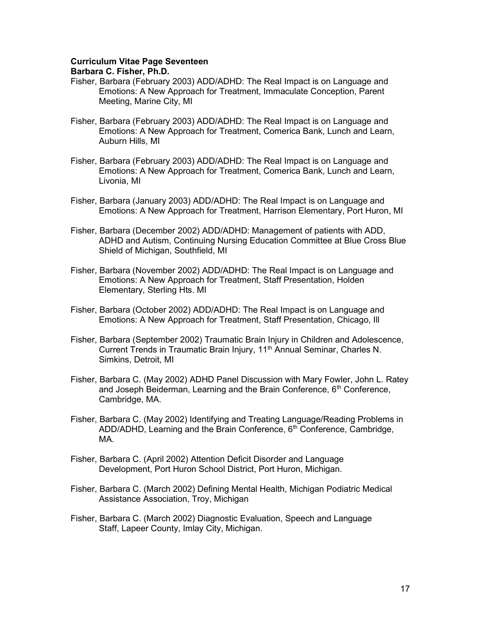#### Curriculum Vitae Page Seventeen

- Fisher, Barbara (February 2003) ADD/ADHD: The Real Impact is on Language and Emotions: A New Approach for Treatment, Immaculate Conception, Parent Meeting, Marine City, MI
- Fisher, Barbara (February 2003) ADD/ADHD: The Real Impact is on Language and Emotions: A New Approach for Treatment, Comerica Bank, Lunch and Learn, Auburn Hills, MI
- Fisher, Barbara (February 2003) ADD/ADHD: The Real Impact is on Language and Emotions: A New Approach for Treatment, Comerica Bank, Lunch and Learn, Livonia, MI
- Fisher, Barbara (January 2003) ADD/ADHD: The Real Impact is on Language and Emotions: A New Approach for Treatment, Harrison Elementary, Port Huron, MI
- Fisher, Barbara (December 2002) ADD/ADHD: Management of patients with ADD, ADHD and Autism, Continuing Nursing Education Committee at Blue Cross Blue Shield of Michigan, Southfield, MI
- Fisher, Barbara (November 2002) ADD/ADHD: The Real Impact is on Language and Emotions: A New Approach for Treatment, Staff Presentation, Holden Elementary, Sterling Hts. MI
- Fisher, Barbara (October 2002) ADD/ADHD: The Real Impact is on Language and Emotions: A New Approach for Treatment, Staff Presentation, Chicago, Ill
- Fisher, Barbara (September 2002) Traumatic Brain Injury in Children and Adolescence, Current Trends in Traumatic Brain Injury, 11<sup>th</sup> Annual Seminar, Charles N. Simkins, Detroit, MI
- Fisher, Barbara C. (May 2002) ADHD Panel Discussion with Mary Fowler, John L. Ratey and Joseph Beiderman, Learning and the Brain Conference, 6<sup>th</sup> Conference, Cambridge, MA.
- Fisher, Barbara C. (May 2002) Identifying and Treating Language/Reading Problems in ADD/ADHD, Learning and the Brain Conference, 6<sup>th</sup> Conference, Cambridge, MA.
- Fisher, Barbara C. (April 2002) Attention Deficit Disorder and Language Development, Port Huron School District, Port Huron, Michigan.
- Fisher, Barbara C. (March 2002) Defining Mental Health, Michigan Podiatric Medical Assistance Association, Troy, Michigan
- Fisher, Barbara C. (March 2002) Diagnostic Evaluation, Speech and Language Staff, Lapeer County, Imlay City, Michigan.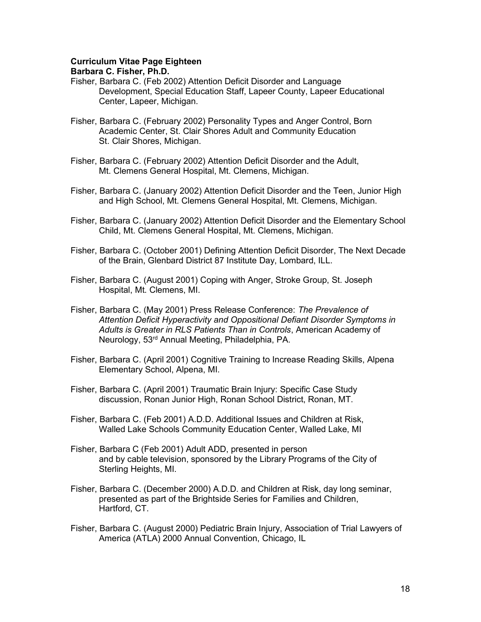### Curriculum Vitae Page Eighteen

- Fisher, Barbara C. (Feb 2002) Attention Deficit Disorder and Language Development, Special Education Staff, Lapeer County, Lapeer Educational Center, Lapeer, Michigan.
- Fisher, Barbara C. (February 2002) Personality Types and Anger Control, Born Academic Center, St. Clair Shores Adult and Community Education St. Clair Shores, Michigan.
- Fisher, Barbara C. (February 2002) Attention Deficit Disorder and the Adult, Mt. Clemens General Hospital, Mt. Clemens, Michigan.
- Fisher, Barbara C. (January 2002) Attention Deficit Disorder and the Teen, Junior High and High School, Mt. Clemens General Hospital, Mt. Clemens, Michigan.
- Fisher, Barbara C. (January 2002) Attention Deficit Disorder and the Elementary School Child, Mt. Clemens General Hospital, Mt. Clemens, Michigan.
- Fisher, Barbara C. (October 2001) Defining Attention Deficit Disorder, The Next Decade of the Brain, Glenbard District 87 Institute Day, Lombard, ILL.
- Fisher, Barbara C. (August 2001) Coping with Anger, Stroke Group, St. Joseph Hospital, Mt. Clemens, MI.
- Fisher, Barbara C. (May 2001) Press Release Conference: The Prevalence of Attention Deficit Hyperactivity and Oppositional Defiant Disorder Symptoms in Adults is Greater in RLS Patients Than in Controls, American Academy of Neurology, 53rd Annual Meeting, Philadelphia, PA.
- Fisher, Barbara C. (April 2001) Cognitive Training to Increase Reading Skills, Alpena Elementary School, Alpena, MI.
- Fisher, Barbara C. (April 2001) Traumatic Brain Injury: Specific Case Study discussion, Ronan Junior High, Ronan School District, Ronan, MT.
- Fisher, Barbara C. (Feb 2001) A.D.D. Additional Issues and Children at Risk, Walled Lake Schools Community Education Center, Walled Lake, MI
- Fisher, Barbara C (Feb 2001) Adult ADD, presented in person and by cable television, sponsored by the Library Programs of the City of Sterling Heights, MI.
- Fisher, Barbara C. (December 2000) A.D.D. and Children at Risk, day long seminar, presented as part of the Brightside Series for Families and Children, Hartford, CT.
- Fisher, Barbara C. (August 2000) Pediatric Brain Injury, Association of Trial Lawyers of America (ATLA) 2000 Annual Convention, Chicago, IL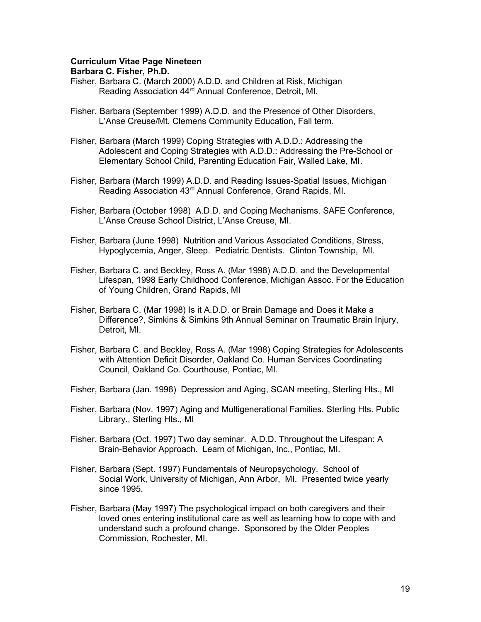## Curriculum Vitae Page Nineteen

- Fisher, Barbara C. (March 2000) A.D.D. and Children at Risk, Michigan Reading Association 44<sup>rd</sup> Annual Conference, Detroit, MI.
- Fisher, Barbara (September 1999) A.D.D. and the Presence of Other Disorders, L'Anse Creuse/Mt. Clemens Community Education, Fall term.
- Fisher, Barbara (March 1999) Coping Strategies with A.D.D.: Addressing the Adolescent and Coping Strategies with A.D.D.: Addressing the Pre-School or Elementary School Child, Parenting Education Fair, Walled Lake, MI.
- Fisher, Barbara (March 1999) A.D.D. and Reading Issues-Spatial Issues, Michigan Reading Association 43rd Annual Conference, Grand Rapids, MI.
- Fisher, Barbara (October 1998) A.D.D. and Coping Mechanisms. SAFE Conference, L'Anse Creuse School District, L'Anse Creuse, MI.
- Fisher, Barbara (June 1998) Nutrition and Various Associated Conditions, Stress, Hypoglycemia, Anger, Sleep. Pediatric Dentists. Clinton Township, MI.
- Fisher, Barbara C. and Beckley, Ross A. (Mar 1998) A.D.D. and the Developmental Lifespan, 1998 Early Childhood Conference, Michigan Assoc. For the Education of Young Children, Grand Rapids, MI
- Fisher, Barbara C. (Mar 1998) Is it A.D.D. or Brain Damage and Does it Make a Difference?, Simkins & Simkins 9th Annual Seminar on Traumatic Brain Injury, Detroit, MI.
- Fisher, Barbara C. and Beckley, Ross A. (Mar 1998) Coping Strategies for Adolescents with Attention Deficit Disorder, Oakland Co. Human Services Coordinating Council, Oakland Co. Courthouse, Pontiac, MI.
- Fisher, Barbara (Jan. 1998) Depression and Aging, SCAN meeting, Sterling Hts., MI
- Fisher, Barbara (Nov. 1997) Aging and Multigenerational Families. Sterling Hts. Public Library., Sterling Hts., MI
- Fisher, Barbara (Oct. 1997) Two day seminar. A.D.D. Throughout the Lifespan: A Brain-Behavior Approach. Learn of Michigan, Inc., Pontiac, MI.
- Fisher, Barbara (Sept. 1997) Fundamentals of Neuropsychology. School of Social Work, University of Michigan, Ann Arbor, MI. Presented twice yearly since 1995.
- Fisher, Barbara (May 1997) The psychological impact on both caregivers and their loved ones entering institutional care as well as learning how to cope with and understand such a profound change. Sponsored by the Older Peoples Commission, Rochester, MI.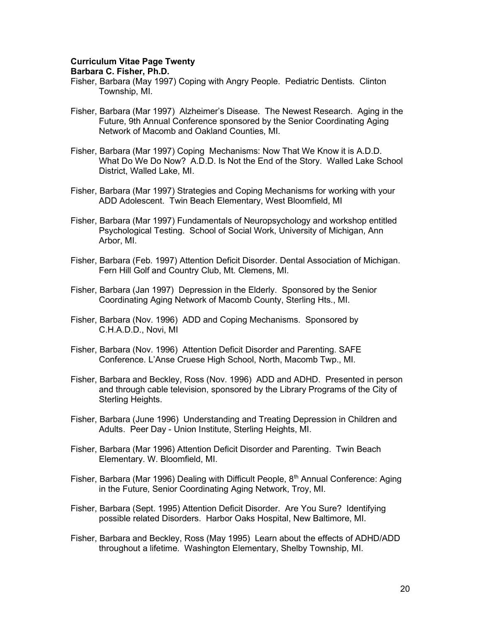### Curriculum Vitae Page Twenty

- Fisher, Barbara (May 1997) Coping with Angry People. Pediatric Dentists. Clinton Township, MI.
- Fisher, Barbara (Mar 1997) Alzheimer's Disease. The Newest Research. Aging in the Future, 9th Annual Conference sponsored by the Senior Coordinating Aging Network of Macomb and Oakland Counties, MI.
- Fisher, Barbara (Mar 1997) Coping Mechanisms: Now That We Know it is A.D.D. What Do We Do Now? A.D.D. Is Not the End of the Story. Walled Lake School District, Walled Lake, MI.
- Fisher, Barbara (Mar 1997) Strategies and Coping Mechanisms for working with your ADD Adolescent. Twin Beach Elementary, West Bloomfield, MI
- Fisher, Barbara (Mar 1997) Fundamentals of Neuropsychology and workshop entitled Psychological Testing. School of Social Work, University of Michigan, Ann Arbor, MI.
- Fisher, Barbara (Feb. 1997) Attention Deficit Disorder. Dental Association of Michigan. Fern Hill Golf and Country Club, Mt. Clemens, MI.
- Fisher, Barbara (Jan 1997) Depression in the Elderly. Sponsored by the Senior Coordinating Aging Network of Macomb County, Sterling Hts., MI.
- Fisher, Barbara (Nov. 1996) ADD and Coping Mechanisms. Sponsored by C.H.A.D.D., Novi, MI
- Fisher, Barbara (Nov. 1996) Attention Deficit Disorder and Parenting. SAFE Conference. L'Anse Cruese High School, North, Macomb Twp., MI.
- Fisher, Barbara and Beckley, Ross (Nov. 1996) ADD and ADHD. Presented in person and through cable television, sponsored by the Library Programs of the City of Sterling Heights.
- Fisher, Barbara (June 1996) Understanding and Treating Depression in Children and Adults. Peer Day - Union Institute, Sterling Heights, MI.
- Fisher, Barbara (Mar 1996) Attention Deficit Disorder and Parenting. Twin Beach Elementary. W. Bloomfield, MI.
- Fisher, Barbara (Mar 1996) Dealing with Difficult People,  $8<sup>th</sup>$  Annual Conference: Aging in the Future, Senior Coordinating Aging Network, Troy, MI.
- Fisher, Barbara (Sept. 1995) Attention Deficit Disorder. Are You Sure? Identifying possible related Disorders. Harbor Oaks Hospital, New Baltimore, MI.
- Fisher, Barbara and Beckley, Ross (May 1995) Learn about the effects of ADHD/ADD throughout a lifetime. Washington Elementary, Shelby Township, MI.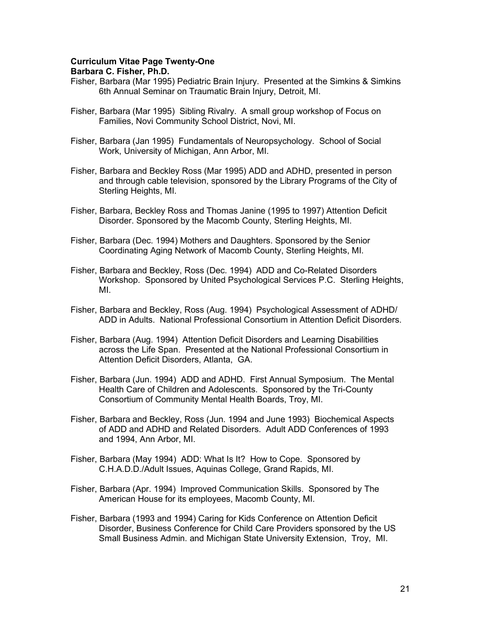## Curriculum Vitae Page Twenty-One

- Fisher, Barbara (Mar 1995) Pediatric Brain Injury. Presented at the Simkins & Simkins 6th Annual Seminar on Traumatic Brain Injury, Detroit, MI.
- Fisher, Barbara (Mar 1995) Sibling Rivalry. A small group workshop of Focus on Families, Novi Community School District, Novi, MI.
- Fisher, Barbara (Jan 1995) Fundamentals of Neuropsychology. School of Social Work, University of Michigan, Ann Arbor, MI.
- Fisher, Barbara and Beckley Ross (Mar 1995) ADD and ADHD, presented in person and through cable television, sponsored by the Library Programs of the City of Sterling Heights, MI.
- Fisher, Barbara, Beckley Ross and Thomas Janine (1995 to 1997) Attention Deficit Disorder. Sponsored by the Macomb County, Sterling Heights, MI.
- Fisher, Barbara (Dec. 1994) Mothers and Daughters. Sponsored by the Senior Coordinating Aging Network of Macomb County, Sterling Heights, MI.
- Fisher, Barbara and Beckley, Ross (Dec. 1994) ADD and Co-Related Disorders Workshop. Sponsored by United Psychological Services P.C. Sterling Heights, MI.
- Fisher, Barbara and Beckley, Ross (Aug. 1994) Psychological Assessment of ADHD/ ADD in Adults. National Professional Consortium in Attention Deficit Disorders.
- Fisher, Barbara (Aug. 1994) Attention Deficit Disorders and Learning Disabilities across the Life Span. Presented at the National Professional Consortium in Attention Deficit Disorders, Atlanta, GA.
- Fisher, Barbara (Jun. 1994) ADD and ADHD. First Annual Symposium. The Mental Health Care of Children and Adolescents. Sponsored by the Tri-County Consortium of Community Mental Health Boards, Troy, MI.
- Fisher, Barbara and Beckley, Ross (Jun. 1994 and June 1993) Biochemical Aspects of ADD and ADHD and Related Disorders. Adult ADD Conferences of 1993 and 1994, Ann Arbor, MI.
- Fisher, Barbara (May 1994) ADD: What Is It? How to Cope. Sponsored by C.H.A.D.D./Adult Issues, Aquinas College, Grand Rapids, MI.
- Fisher, Barbara (Apr. 1994) Improved Communication Skills. Sponsored by The American House for its employees, Macomb County, MI.
- Fisher, Barbara (1993 and 1994) Caring for Kids Conference on Attention Deficit Disorder, Business Conference for Child Care Providers sponsored by the US Small Business Admin. and Michigan State University Extension, Troy, MI.